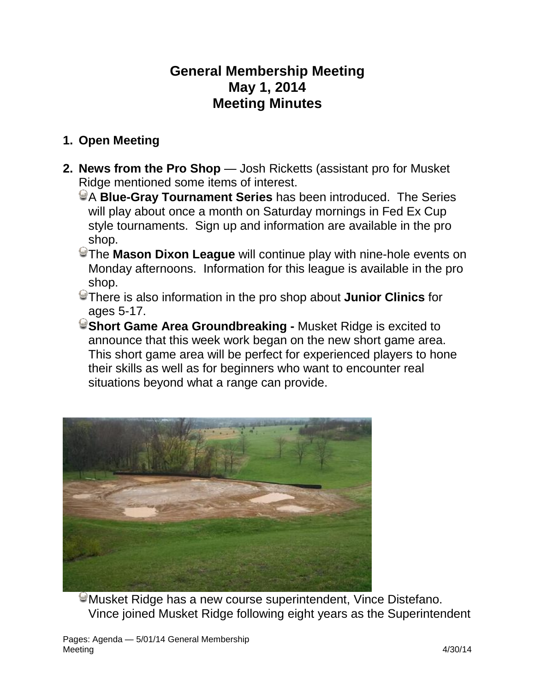# **General Membership Meeting May 1, 2014 Meeting Minutes**

### **1. Open Meeting**

- **2. News from the Pro Shop** Josh Ricketts (assistant pro for Musket Ridge mentioned some items of interest.
	- A **Blue-Gray Tournament Series** has been introduced. The Series will play about once a month on Saturday mornings in Fed Ex Cup style tournaments. Sign up and information are available in the pro shop.
	- The **Mason Dixon League** will continue play with nine-hole events on Monday afternoons. Information for this league is available in the pro shop.
	- There is also information in the pro shop about **Junior Clinics** for ages 5-17.
	- **Short Game Area Groundbreaking -** Musket Ridge is excited to announce that this week work began on the new short game area. This short game area will be perfect for experienced players to hone their skills as well as for beginners who want to encounter real situations beyond what a range can provide.



Musket Ridge has a new course superintendent, Vince Distefano. Vince joined Musket Ridge following eight years as the Superintendent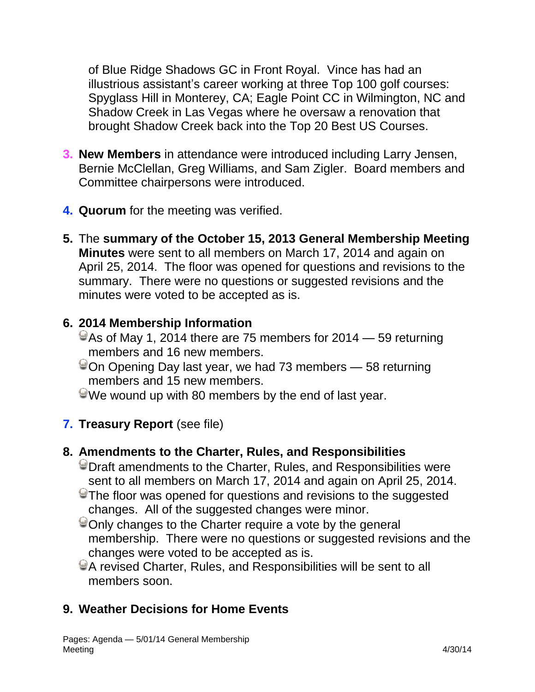of Blue Ridge Shadows GC in Front Royal. Vince has had an illustrious assistant's career working at three Top 100 golf courses: Spyglass Hill in Monterey, CA; Eagle Point CC in Wilmington, NC and Shadow Creek in Las Vegas where he oversaw a renovation that brought Shadow Creek back into the Top 20 Best US Courses.

- **3. New Members** in attendance were introduced including Larry Jensen, Bernie McClellan, Greg Williams, and Sam Zigler. Board members and Committee chairpersons were introduced.
- **4. Quorum** for the meeting was verified.
- **5.** The **summary of the October 15, 2013 General Membership Meeting Minutes** were sent to all members on March 17, 2014 and again on April 25, 2014. The floor was opened for questions and revisions to the summary. There were no questions or suggested revisions and the minutes were voted to be accepted as is.

#### **6. 2014 Membership Information**

- $\degree$  As of May 1, 2014 there are 75 members for 2014 59 returning members and 16 new members.
- $\degree$ On Opening Day last year, we had 73 members 58 returning members and 15 new members.
- We wound up with 80 members by the end of last year.
- **7. Treasury Report** (see file)

#### **8. Amendments to the Charter, Rules, and Responsibilities**

- Draft amendments to the Charter, Rules, and Responsibilities were sent to all members on March 17, 2014 and again on April 25, 2014.
- The floor was opened for questions and revisions to the suggested changes. All of the suggested changes were minor.
- Only changes to the Charter require a vote by the general membership. There were no questions or suggested revisions and the changes were voted to be accepted as is.
- A revised Charter, Rules, and Responsibilities will be sent to all members soon.

### **9. Weather Decisions for Home Events**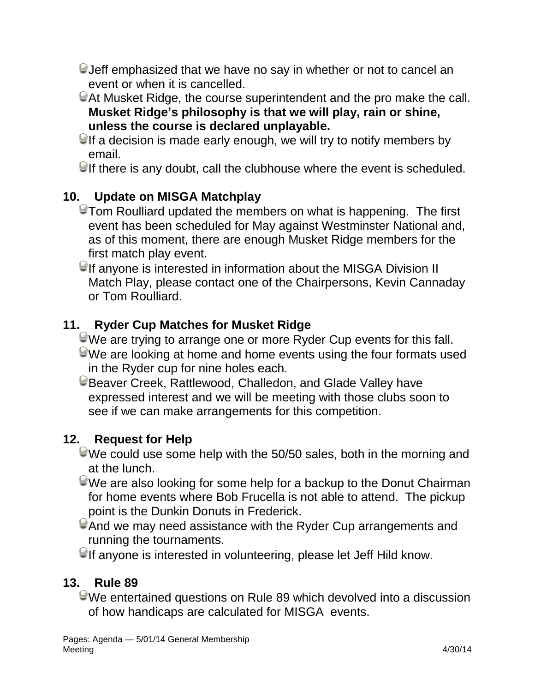- Jeff emphasized that we have no say in whether or not to cancel an event or when it is cancelled.
- At Musket Ridge, the course superintendent and the pro make the call. **Musket Ridge's philosophy is that we will play, rain or shine, unless the course is declared unplayable.**
- $\Theta$ If a decision is made early enough, we will try to notify members by email.

 $\bigcirc$  If there is any doubt, call the clubhouse where the event is scheduled.

### **10. Update on MISGA Matchplay**

- Tom Roulliard updated the members on what is happening. The first event has been scheduled for May against Westminster National and, as of this moment, there are enough Musket Ridge members for the first match play event.
- $\blacktriangleright$  If anyone is interested in information about the MISGA Division II Match Play, please contact one of the Chairpersons, Kevin Cannaday or Tom Roulliard.

### **11. Ryder Cup Matches for Musket Ridge**

- We are trying to arrange one or more Ryder Cup events for this fall. We are looking at home and home events using the four formats used in the Ryder cup for nine holes each.
- Beaver Creek, Rattlewood, Challedon, and Glade Valley have expressed interest and we will be meeting with those clubs soon to see if we can make arrangements for this competition.

### **12. Request for Help**

- $\blacktriangleright$ We could use some help with the 50/50 sales, both in the morning and at the lunch.
- We are also looking for some help for a backup to the Donut Chairman for home events where Bob Frucella is not able to attend. The pickup point is the Dunkin Donuts in Frederick.
- And we may need assistance with the Ryder Cup arrangements and running the tournaments.
- $\Theta$ If anyone is interested in volunteering, please let Jeff Hild know.

### **13. Rule 89**

We entertained questions on Rule 89 which devolved into a discussion of how handicaps are calculated for MISGA events.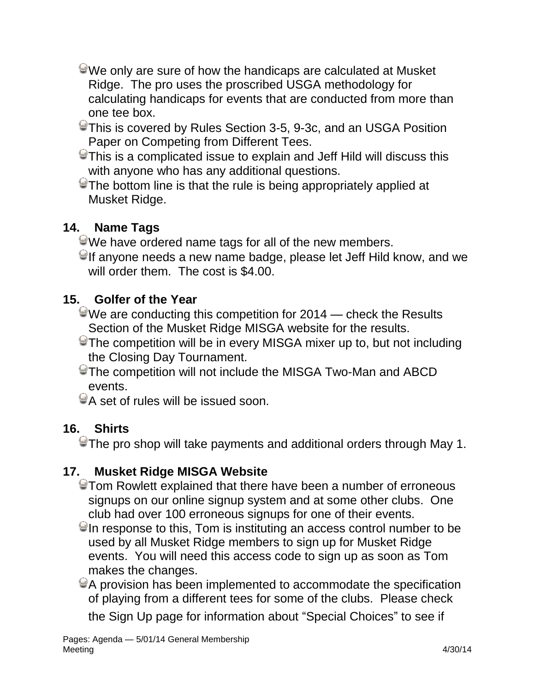- We only are sure of how the handicaps are calculated at Musket Ridge. The pro uses the proscribed USGA methodology for calculating handicaps for events that are conducted from more than one tee box.
- This is covered by Rules Section 3-5, 9-3c, and an USGA Position Paper on Competing from Different Tees.
- $\odot$ This is a complicated issue to explain and Jeff Hild will discuss this with anyone who has any additional questions.
- $\degree$ The bottom line is that the rule is being appropriately applied at Musket Ridge.

# **14. Name Tags**

- We have ordered name tags for all of the new members.
- $\Theta$ If anyone needs a new name badge, please let Jeff Hild know, and we will order them. The cost is \$4.00.

### **15. Golfer of the Year**

- $\odot$ We are conducting this competition for 2014 check the Results Section of the Musket Ridge MISGA website for the results.
- The competition will be in every MISGA mixer up to, but not including the Closing Day Tournament.
- The competition will not include the MISGA Two-Man and ABCD events.
- A set of rules will be issued soon.

# **16. Shirts**

 $\Theta$ The pro shop will take payments and additional orders through May 1.

# **17. Musket Ridge MISGA Website**

- Tom Rowlett explained that there have been a number of erroneous signups on our online signup system and at some other clubs. One club had over 100 erroneous signups for one of their events.
- $\Theta$ In response to this, Tom is instituting an access control number to be used by all Musket Ridge members to sign up for Musket Ridge events. You will need this access code to sign up as soon as Tom makes the changes.
- A provision has been implemented to accommodate the specification of playing from a different tees for some of the clubs. Please check the Sign Up page for information about "Special Choices" to see if